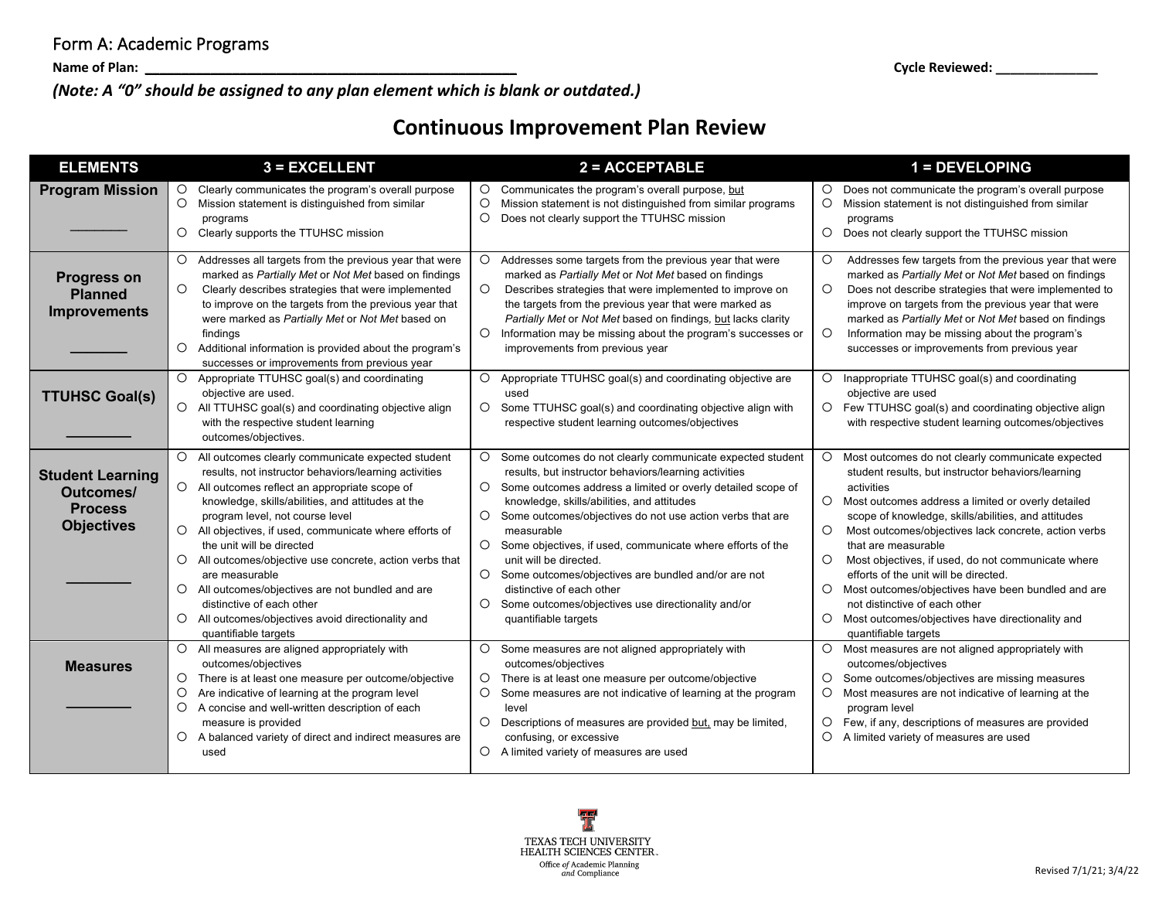*(Note: A "0" should be assigned to any plan element which is blank or outdated.)*

## **Continuous Improvement Plan Review**

| <b>ELEMENTS</b>                                                                    | $3 = EXCELLENT$                                                                                                                                                                                                                                                                                                                                                                                                                                                                                                                                                                                                                                    | 2 = ACCEPTABLE                                                                                                                                                                                                                                                                                                                                                                                                                                                                                                                                                                      | $1 = DEVELOPING$                                                                                                                                                                                                                                                                                                                                                                                                                                                                                                                                                                                                                          |
|------------------------------------------------------------------------------------|----------------------------------------------------------------------------------------------------------------------------------------------------------------------------------------------------------------------------------------------------------------------------------------------------------------------------------------------------------------------------------------------------------------------------------------------------------------------------------------------------------------------------------------------------------------------------------------------------------------------------------------------------|-------------------------------------------------------------------------------------------------------------------------------------------------------------------------------------------------------------------------------------------------------------------------------------------------------------------------------------------------------------------------------------------------------------------------------------------------------------------------------------------------------------------------------------------------------------------------------------|-------------------------------------------------------------------------------------------------------------------------------------------------------------------------------------------------------------------------------------------------------------------------------------------------------------------------------------------------------------------------------------------------------------------------------------------------------------------------------------------------------------------------------------------------------------------------------------------------------------------------------------------|
| <b>Program Mission</b>                                                             | $\circ$<br>Clearly communicates the program's overall purpose<br>$\circ$<br>Mission statement is distinguished from similar<br>programs<br>O Clearly supports the TTUHSC mission                                                                                                                                                                                                                                                                                                                                                                                                                                                                   | O Communicates the program's overall purpose, but<br>$\circ$<br>Mission statement is not distinguished from similar programs<br>$\circ$<br>Does not clearly support the TTUHSC mission                                                                                                                                                                                                                                                                                                                                                                                              | O Does not communicate the program's overall purpose<br>Mission statement is not distinguished from similar<br>$\circ$<br>programs<br>O Does not clearly support the TTUHSC mission                                                                                                                                                                                                                                                                                                                                                                                                                                                       |
| <b>Progress on</b><br><b>Planned</b><br><b>Improvements</b>                        | Addresses all targets from the previous year that were<br>$\circ$<br>marked as Partially Met or Not Met based on findings<br>$\circ$<br>Clearly describes strategies that were implemented<br>to improve on the targets from the previous year that<br>were marked as Partially Met or Not Met based on<br>findings<br>$\circ$<br>Additional information is provided about the program's<br>successes or improvements from previous year                                                                                                                                                                                                           | Addresses some targets from the previous year that were<br>O<br>marked as Partially Met or Not Met based on findings<br>$\circ$<br>Describes strategies that were implemented to improve on<br>the targets from the previous year that were marked as<br>Partially Met or Not Met based on findings, but lacks clarity<br>O Information may be missing about the program's successes or<br>improvements from previous year                                                                                                                                                          | Addresses few targets from the previous year that were<br>O<br>marked as Partially Met or Not Met based on findings<br>Does not describe strategies that were implemented to<br>O<br>improve on targets from the previous year that were<br>marked as Partially Met or Not Met based on findings<br>$\circ$<br>Information may be missing about the program's<br>successes or improvements from previous year                                                                                                                                                                                                                             |
| <b>TTUHSC Goal(s)</b>                                                              | O Appropriate TTUHSC goal(s) and coordinating<br>objective are used.<br>$\circ$<br>All TTUHSC goal(s) and coordinating objective align<br>with the respective student learning<br>outcomes/objectives.                                                                                                                                                                                                                                                                                                                                                                                                                                             | $\circ$<br>Appropriate TTUHSC goal(s) and coordinating objective are<br>used<br>$\circ$<br>Some TTUHSC goal(s) and coordinating objective align with<br>respective student learning outcomes/objectives                                                                                                                                                                                                                                                                                                                                                                             | $\circ$<br>Inappropriate TTUHSC goal(s) and coordinating<br>objective are used<br>O Few TTUHSC goal(s) and coordinating objective align<br>with respective student learning outcomes/objectives                                                                                                                                                                                                                                                                                                                                                                                                                                           |
| <b>Student Learning</b><br><b>Outcomes/</b><br><b>Process</b><br><b>Objectives</b> | All outcomes clearly communicate expected student<br>$\circ$<br>results, not instructor behaviors/learning activities<br>$\circ$<br>All outcomes reflect an appropriate scope of<br>knowledge, skills/abilities, and attitudes at the<br>program level, not course level<br>$\circ$<br>All objectives, if used, communicate where efforts of<br>the unit will be directed<br>$\circ$<br>All outcomes/objective use concrete, action verbs that<br>are measurable<br>All outcomes/objectives are not bundled and are<br>$\circ$<br>distinctive of each other<br>All outcomes/objectives avoid directionality and<br>$\circ$<br>quantifiable targets | Some outcomes do not clearly communicate expected student<br>O<br>results, but instructor behaviors/learning activities<br>O Some outcomes address a limited or overly detailed scope of<br>knowledge, skills/abilities, and attitudes<br>O Some outcomes/objectives do not use action verbs that are<br>measurable<br>O Some objectives, if used, communicate where efforts of the<br>unit will be directed.<br>O Some outcomes/objectives are bundled and/or are not<br>distinctive of each other<br>O Some outcomes/objectives use directionality and/or<br>quantifiable targets | Most outcomes do not clearly communicate expected<br>$\circ$<br>student results, but instructor behaviors/learning<br>activities<br>$\circ$<br>Most outcomes address a limited or overly detailed<br>scope of knowledge, skills/abilities, and attitudes<br>O<br>Most outcomes/objectives lack concrete, action verbs<br>that are measurable<br>O<br>Most objectives, if used, do not communicate where<br>efforts of the unit will be directed.<br>$\circ$<br>Most outcomes/objectives have been bundled and are<br>not distinctive of each other<br>Most outcomes/objectives have directionality and<br>$\circ$<br>quantifiable targets |
| <b>Measures</b>                                                                    | $\circ$<br>All measures are aligned appropriately with<br>outcomes/objectives<br>$\circ$<br>There is at least one measure per outcome/objective<br>$\circ$<br>Are indicative of learning at the program level<br>$\circ$<br>A concise and well-written description of each<br>measure is provided<br>A balanced variety of direct and indirect measures are<br>$\circ$<br>used                                                                                                                                                                                                                                                                     | O<br>Some measures are not aligned appropriately with<br>outcomes/objectives<br>There is at least one measure per outcome/objective<br>$\circ$<br>$\circ$<br>Some measures are not indicative of learning at the program<br>level<br>$\circ$<br>Descriptions of measures are provided but, may be limited,<br>confusing, or excessive<br>O A limited variety of measures are used                                                                                                                                                                                                   | $\circ$<br>Most measures are not aligned appropriately with<br>outcomes/objectives<br>Some outcomes/objectives are missing measures<br>$\circ$<br>Most measures are not indicative of learning at the<br>$\circ$<br>program level<br>Few, if any, descriptions of measures are provided<br>$\circ$<br>O<br>A limited variety of measures are used                                                                                                                                                                                                                                                                                         |

**Name of Plan: \_\_\_\_\_\_\_\_\_\_\_\_\_\_\_\_\_\_\_\_\_\_\_\_\_\_\_\_\_\_\_\_\_\_\_\_\_\_\_\_\_\_\_\_\_\_\_\_\_\_\_ Cycle Reviewed: \_\_\_\_\_\_\_\_\_\_\_\_\_\_**